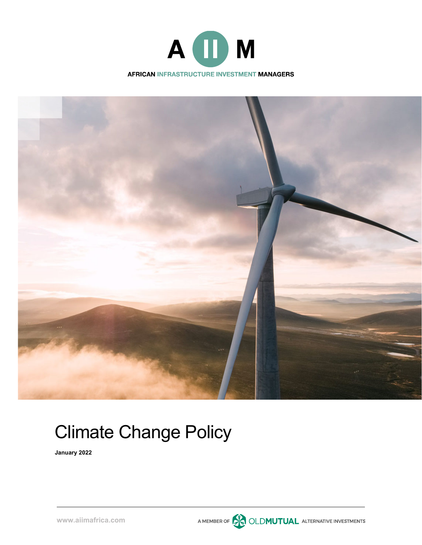



A MEMBER OF **CONDUTUAL** ALTERNATIVE INVESTMENTS

# Climate Change Policy

**January 2022**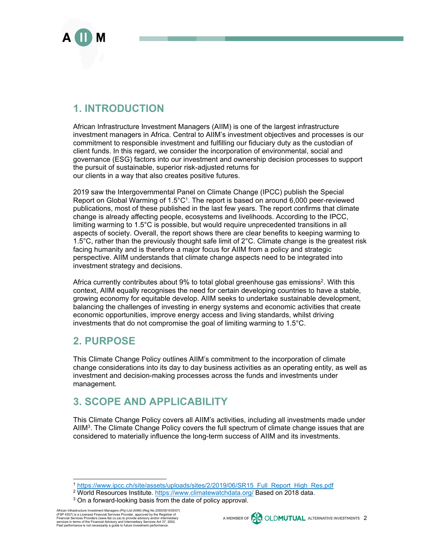

### **1. INTRODUCTION**

African Infrastructure Investment Managers (AIIM) is one of the largest infrastructure investment managers in Africa. Central to AIIM's investment objectives and processes is our commitment to responsible investment and fulfilling our fiduciary duty as the custodian of client funds. In this regard, we consider the incorporation of environmental, social and governance (ESG) factors into our investment and ownership decision processes to support the pursuit of sustainable, superior risk-adjusted returns for our clients in a way that also creates positive futures.

2019 saw the Intergovernmental Panel on Climate Change (IPCC) publish the Special Report on Global Warming of  $1.5^{\circ}C^{1}$ . The report is based on around 6,000 peer-reviewed publications, most of these published in the last few years. The report confirms that climate change is already affecting people, ecosystems and livelihoods. According to the IPCC, limiting warming to 1.5°C is possible, but would require unprecedented transitions in all aspects of society. Overall, the report shows there are clear benefits to keeping warming to 1.5°C, rather than the previously thought safe limit of 2°C. Climate change is the greatest risk facing humanity and is therefore a major focus for AIIM from a policy and strategic perspective. AIIM understands that climate change aspects need to be integrated into investment strategy and decisions.

Africa currently contributes about 9% to total global greenhouse gas emissions<sup>2</sup>. With this context, AIIM equally recognises the need for certain developing countries to have a stable, growing economy for equitable develop. AIIM seeks to undertake sustainable development, balancing the challenges of investing in energy systems and economic activities that create economic opportunities, improve energy access and living standards, whilst driving investments that do not compromise the goal of limiting warming to 1.5°C.

### **2. PURPOSE**

This Climate Change Policy outlines AIIM's commitment to the incorporation of climate change considerations into its day to day business activities as an operating entity, as well as investment and decision-making processes across the funds and investments under management.

## **3. SCOPE AND APPLICABILITY**

This Climate Change Policy covers all AIIM's activities, including all investments made under AIIM3. The Climate Change Policy covers the full spectrum of climate change issues that are considered to materially influence the long-term success of AIIM and its investments.

African Infrastructure Investment Managers (Pty) Ltd (AIIM) (Reg No 2000/001435/07)<br>(FSP 4307) is a Licensed Financial Services Provider, approved by the Registrar of<br>Financial Services Providers (www.fsb.co.za) to provide services in terms of the Financial Advisory and Intermediary Services Act 37, 2002. Past performance is not necessarily a guide to future investment performance.



<sup>&</sup>lt;sup>1</sup> https://www.ipcc.ch/site/assets/uploads/sites/2/2019/06/SR15 Full Report High Res.pdf <sup>2</sup> World Resources Institute. https://www.climatewatchdata.org/ Based on 2018 data.<br><sup>3</sup> On a forward-looking basis from the date of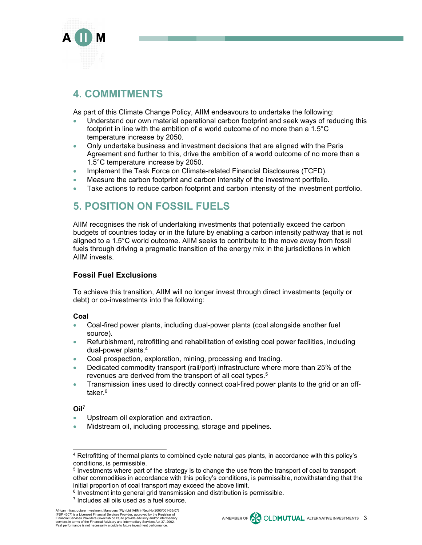

### **4. COMMITMENTS**

As part of this Climate Change Policy, AIIM endeavours to undertake the following:

- Understand our own material operational carbon footprint and seek ways of reducing this footprint in line with the ambition of a world outcome of no more than a 1.5°C temperature increase by 2050.
- Only undertake business and investment decisions that are aligned with the Paris Agreement and further to this, drive the ambition of a world outcome of no more than a 1.5°C temperature increase by 2050.
- **Implement the Task Force on Climate-related Financial Disclosures (TCFD).**
- Measure the carbon footprint and carbon intensity of the investment portfolio.
- Take actions to reduce carbon footprint and carbon intensity of the investment portfolio.

### **5. POSITION ON FOSSIL FUELS**

AIIM recognises the risk of undertaking investments that potentially exceed the carbon budgets of countries today or in the future by enabling a carbon intensity pathway that is not aligned to a 1.5°C world outcome. AIIM seeks to contribute to the move away from fossil fuels through driving a pragmatic transition of the energy mix in the jurisdictions in which AIIM invests.

### **Fossil Fuel Exclusions**

To achieve this transition, AIIM will no longer invest through direct investments (equity or debt) or co-investments into the following:

#### **Coal**

- Coal-fired power plants, including dual-power plants (coal alongside another fuel source).
- Refurbishment, retrofitting and rehabilitation of existing coal power facilities, including dual-power plants.4
- Coal prospection, exploration, mining, processing and trading.
- Dedicated commodity transport (rail/port) infrastructure where more than 25% of the revenues are derived from the transport of all coal types.<sup>5</sup>
- **Transmission lines used to directly connect coal-fired power plants to the grid or an off**taker.<sup>6</sup>

#### **Oil7**

- Upstream oil exploration and extraction.
- Midstream oil, including processing, storage and pipelines.



<sup>4</sup> Retrofitting of thermal plants to combined cycle natural gas plants, in accordance with this policy's conditions, is permissible.

<sup>5</sup> Investments where part of the strategy is to change the use from the transport of coal to transport other commodities in accordance with this policy's conditions, is permissible, notwithstanding that the initial proportion of coal transport may exceed the above limit.

 $6$  Investment into general grid transmission and distribution is permissible.

 $<sup>7</sup>$  Includes all oils used as a fuel source.</sup>

African Infrastructure Investment Managers (Pty) Ltd (AIIM) (Reg No 2000/001435/07)<br>(FSP 4307) is a Licensed Financial Services Provider, approved by the Registrar of<br>Financial Services Providers (www.fsb.co.za) to provide services in terms of the Financial Advisory and Intermediary Services Act 37, 2002. Past performance is not necessarily a guide to future investment performance.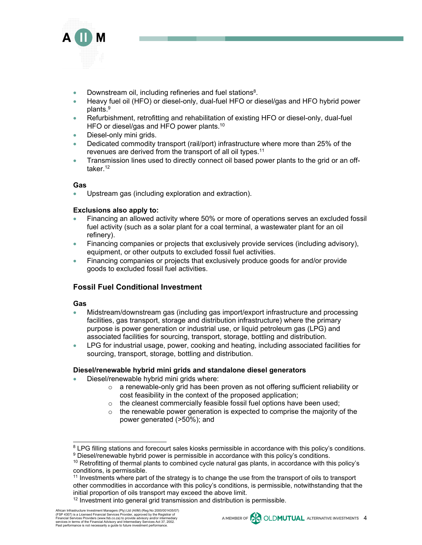

- Downstream oil, including refineries and fuel stations<sup>8</sup>.
- Heavy fuel oil (HFO) or diesel-only, dual-fuel HFO or diesel/gas and HFO hybrid power plants.9
- Refurbishment, retrofitting and rehabilitation of existing HFO or diesel-only, dual-fuel HFO or diesel/gas and HFO power plants.<sup>10</sup>
- Diesel-only mini grids.
- Dedicated commodity transport (rail/port) infrastructure where more than 25% of the revenues are derived from the transport of all oil types.11
- **Transmission lines used to directly connect oil based power plants to the grid or an off**taker.<sup>12</sup>

#### **Gas**

Upstream gas (including exploration and extraction).

#### **Exclusions also apply to:**

- Financing an allowed activity where 50% or more of operations serves an excluded fossil fuel activity (such as a solar plant for a coal terminal, a wastewater plant for an oil refinery).
- Financing companies or projects that exclusively provide services (including advisory), equipment, or other outputs to excluded fossil fuel activities.
- Financing companies or projects that exclusively produce goods for and/or provide goods to excluded fossil fuel activities.

#### **Fossil Fuel Conditional Investment**

#### **Gas**

- Midstream/downstream gas (including gas import/export infrastructure and processing facilities, gas transport, storage and distribution infrastructure) where the primary purpose is power generation or industrial use, or liquid petroleum gas (LPG) and associated facilities for sourcing, transport, storage, bottling and distribution.
- LPG for industrial usage, power, cooking and heating, including associated facilities for sourcing, transport, storage, bottling and distribution.

#### **Diesel/renewable hybrid mini grids and standalone diesel generators**

- Diesel/renewable hybrid mini grids where:
	- $\circ$  a renewable-only grid has been proven as not offering sufficient reliability or cost feasibility in the context of the proposed application;
	- o the cleanest commercially feasible fossil fuel options have been used;
	- $\circ$  the renewable power generation is expected to comprise the majority of the power generated (>50%); and

<sup>&</sup>lt;sup>8</sup> LPG filling stations and forecourt sales kiosks permissible in accordance with this policy's conditions.<br><sup>9</sup> Diesel/renewable hybrid power is permissible in accordance with this policy's conditions.

<sup>&</sup>lt;sup>10</sup> Retrofitting of thermal plants to combined cycle natural gas plants, in accordance with this policy's conditions, is permissible.

<sup>&</sup>lt;sup>11</sup> Investments where part of the strategy is to change the use from the transport of oils to transport other commodities in accordance with this policy's conditions, is permissible, notwithstanding that the initial proportion of oils transport may exceed the above limit.

<sup>&</sup>lt;sup>12</sup> Investment into general grid transmission and distribution is permissible.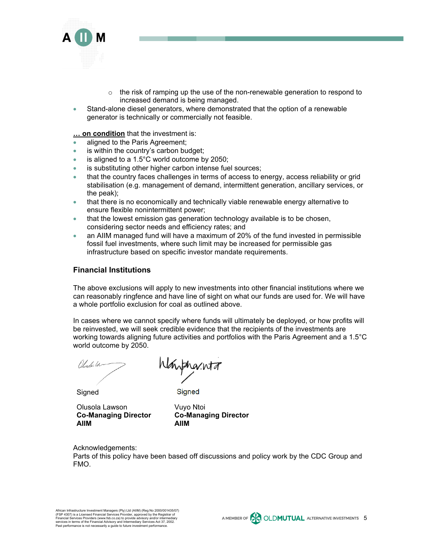

- $\circ$  the risk of ramping up the use of the non-renewable generation to respond to increased demand is being managed.
- Stand-alone diesel generators, where demonstrated that the option of a renewable generator is technically or commercially not feasible.

**… on condition** that the investment is:

- aligned to the Paris Agreement;
- is within the country's carbon budget;
- $\bullet$  is aligned to a 1.5°C world outcome by 2050;
- is substituting other higher carbon intense fuel sources;
- that the country faces challenges in terms of access to energy, access reliability or grid stabilisation (e.g. management of demand, intermittent generation, ancillary services, or the peak);
- that there is no economically and technically viable renewable energy alternative to ensure flexible nonintermittent power;
- that the lowest emission gas generation technology available is to be chosen, considering sector needs and efficiency rates; and
- an AIIM managed fund will have a maximum of 20% of the fund invested in permissible fossil fuel investments, where such limit may be increased for permissible gas infrastructure based on specific investor mandate requirements.

#### **Financial Institutions**

The above exclusions will apply to new investments into other financial institutions where we can reasonably ringfence and have line of sight on what our funds are used for. We will have a whole portfolio exclusion for coal as outlined above.

In cases where we cannot specify where funds will ultimately be deployed, or how profits will be reinvested, we will seek credible evidence that the recipients of the investments are working towards aligning future activities and portfolios with the Paris Agreement and a 1.5°C world outcome by 2050.

Olyske U

Waynanta

Signed

**Signed** 

Olusola Lawson **Co-Managing Director AIIM**

Vuyo Ntoi **Co-Managing Director AIIM**

Acknowledgements:

Parts of this policy have been based off discussions and policy work by the CDC Group and FMO.